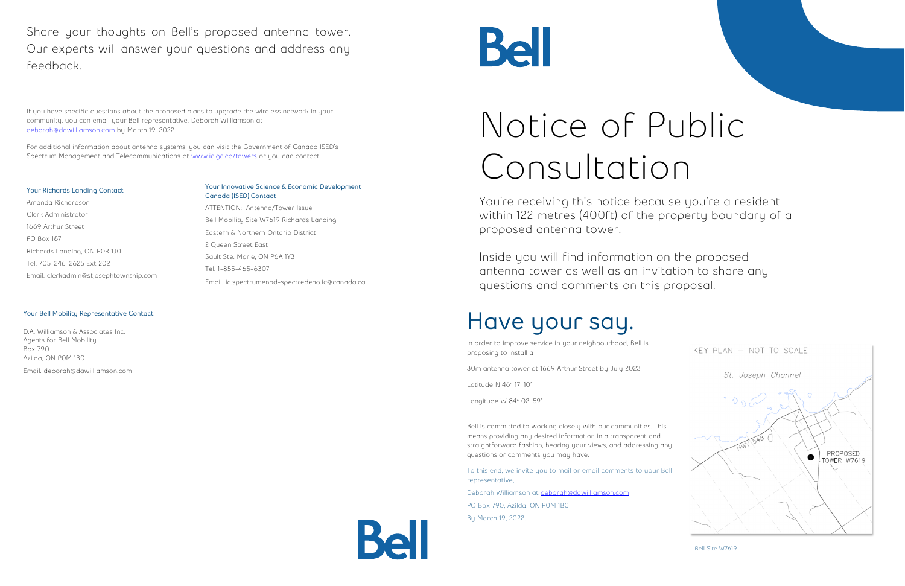## Notice of Public Consultation

You're receiving this notice because you're a resident within 122 metres (400ft) of the property boundary of a proposed antenna tower.

Inside you will find information on the proposed antenna tower as well as an invitation to share any questions and comments on this proposal.

## **Have your say.**

In order to improve service in your neighbourhood, Bell is proposing to install a

30m antenna tower at 1669 Arthur Street by July 2023

Deborah Williamson at [deborah@dawilliamson.com](mailto:deborah@dawilliamson.com) PO Box 790, Azilda, ON P0M 1B0 By March 19, 2022.



Latitude N 46° 17' 10"

Longitude W 84° 02' 59"

If you have specific questions about the proposed plans to upgrade the wireless network in your community, you can email your Bell representative, Deborah Williamson at [deborah@dawilliamson.com](mailto:deborah@dawilliamson.com) by March 19, 2022.

> Bell is committed to working closely with our communities. This means providing any desired information in a transparent and straightforward fashion, hearing your views, and addressing any questions or comments you may have.

For additional information about antenna systems, you can visit the Government of Canada ISED's Spectrum Management and Telecommunications at [www.ic.gc.ca/towers](http://www.ic.gc.ca/towers) or you can contact:

> To this end, we invite you to mail or email comments to your Bell representative,

Share your thoughts on Bell's proposed antenna tower. Our experts will answer your questions and address any feedback.

#### **Your Richards Landing Contact**

Amanda Richardson Clerk Administrator 1669 Arthur Street PO Box 187 Richards Landing, ON P0R 1J0 Tel. 705-246-2625 Ext 202 Email. clerkadmin@stjosephtownship.com

#### **Your Innovative Science & Economic Development Canada (ISED) Contact**

ATTENTION: Antenna/Tower Issue Bell Mobility Site W7619 Richards Landing Eastern & Northern Ontario District 2 Queen Street East Sault Ste. Marie, ON P6A 1Y3 Tel. 1-855-465-6307 Email. ic.spectrumenod-spectredeno.ic@canada.ca

# Bell

#### **Your Bell Mobility Representative Contact**

D.A. Williamson & Associates Inc. Agents for Bell Mobility Box 790 Azilda, ON P0M 1B0 Email. deborah@dawilliamson.com

Bell Site W7619